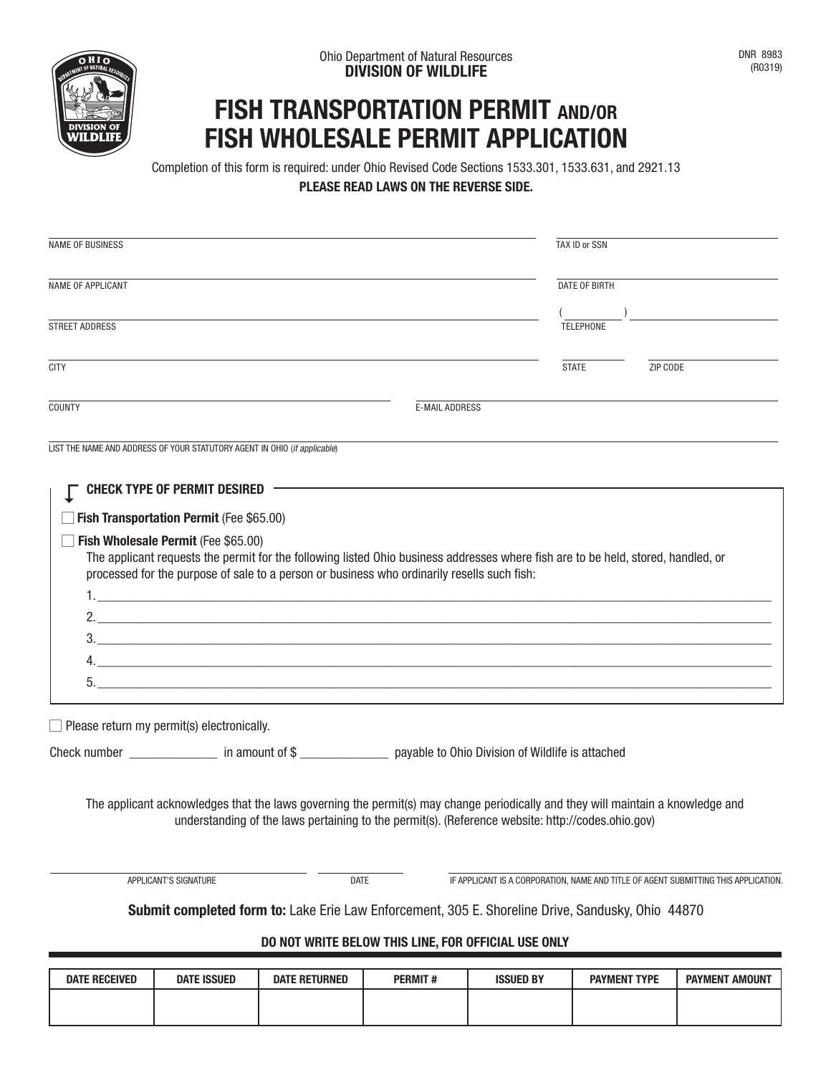

## **FISH TRANSPORTATION PERMIT AND/OR FISH WHOLESALE PERMIT APPLICATION**

Completion of this form is required: under Ohio Revised Code Sections 1533.301, 1533.631, and 2921.13 **PLEASE READ LAWS ON THE REVERSE SIDE.**

| <b>NAME OF BUSINESS</b>                                                                                                                                                                             |                                                                                                                                                                                                                                                                                                                                                                                                                                                                                                                                                                  | TAX ID or SSN |                           |                                                                                    |  |  |  |  |
|-----------------------------------------------------------------------------------------------------------------------------------------------------------------------------------------------------|------------------------------------------------------------------------------------------------------------------------------------------------------------------------------------------------------------------------------------------------------------------------------------------------------------------------------------------------------------------------------------------------------------------------------------------------------------------------------------------------------------------------------------------------------------------|---------------|---------------------------|------------------------------------------------------------------------------------|--|--|--|--|
| <b>NAME OF APPLICANT</b>                                                                                                                                                                            |                                                                                                                                                                                                                                                                                                                                                                                                                                                                                                                                                                  |               | DATE OF BIRTH             |                                                                                    |  |  |  |  |
| <b>STREET ADDRESS</b>                                                                                                                                                                               |                                                                                                                                                                                                                                                                                                                                                                                                                                                                                                                                                                  |               | $($ )<br><b>TELEPHONE</b> |                                                                                    |  |  |  |  |
| <b>CITY</b>                                                                                                                                                                                         |                                                                                                                                                                                                                                                                                                                                                                                                                                                                                                                                                                  |               | <b>STATE</b>              | ZIP CODE                                                                           |  |  |  |  |
| COUNTY                                                                                                                                                                                              | <b>E-MAIL ADDRESS</b>                                                                                                                                                                                                                                                                                                                                                                                                                                                                                                                                            |               |                           |                                                                                    |  |  |  |  |
| LIST THE NAME AND ADDRESS OF YOUR STATUTORY AGENT IN OHIO (if applicable)<br><b>CHECK TYPE OF PERMIT DESIRED</b><br>Fish Transportation Permit (Fee \$65.00)<br>Fish Wholesale Permit (Fee \$65.00) | The applicant requests the permit for the following listed Ohio business addresses where fish are to be held, stored, handled, or<br>processed for the purpose of sale to a person or business who ordinarily resells such fish:<br>2. $\frac{1}{2}$ $\frac{1}{2}$ $\frac{1}{2}$ $\frac{1}{2}$ $\frac{1}{2}$ $\frac{1}{2}$ $\frac{1}{2}$ $\frac{1}{2}$ $\frac{1}{2}$ $\frac{1}{2}$ $\frac{1}{2}$ $\frac{1}{2}$ $\frac{1}{2}$ $\frac{1}{2}$ $\frac{1}{2}$ $\frac{1}{2}$ $\frac{1}{2}$ $\frac{1}{2}$ $\frac{1}{2}$ $\frac{1}{2}$ $\frac{1}{2}$ $\frac{1}{2}$<br>3. |               |                           |                                                                                    |  |  |  |  |
| $\Box$ Please return my permit(s) electronically.                                                                                                                                                   |                                                                                                                                                                                                                                                                                                                                                                                                                                                                                                                                                                  |               |                           |                                                                                    |  |  |  |  |
| Check number _______________ in amount of \$ ________________ payable to Ohio Division of Wildlife is attached                                                                                      |                                                                                                                                                                                                                                                                                                                                                                                                                                                                                                                                                                  |               |                           |                                                                                    |  |  |  |  |
|                                                                                                                                                                                                     | The applicant acknowledges that the laws governing the permit(s) may change periodically and they will maintain a knowledge and<br>understanding of the laws pertaining to the permit(s). (Reference website: http://codes.ohio.gov)                                                                                                                                                                                                                                                                                                                             |               |                           |                                                                                    |  |  |  |  |
| APPLICANT'S SIGNATURE                                                                                                                                                                               | <b>DATE</b>                                                                                                                                                                                                                                                                                                                                                                                                                                                                                                                                                      |               |                           | IF APPLICANT IS A CORPORATION, NAME AND TITLE OF AGENT SUBMITTING THIS APPLICATION |  |  |  |  |
|                                                                                                                                                                                                     | Submit completed form to: Lake Erie Law Enforcement, 305 E. Shoreline Drive, Sandusky, Ohio 44870                                                                                                                                                                                                                                                                                                                                                                                                                                                                |               |                           |                                                                                    |  |  |  |  |
|                                                                                                                                                                                                     | DO NOT WRITE BELOW THIS LINE, FOR OFFICIAL USE ONLY                                                                                                                                                                                                                                                                                                                                                                                                                                                                                                              |               |                           |                                                                                    |  |  |  |  |
|                                                                                                                                                                                                     |                                                                                                                                                                                                                                                                                                                                                                                                                                                                                                                                                                  |               |                           |                                                                                    |  |  |  |  |

| <b>DATE RECEIVED</b> | <b>DATE ISSUED</b> | <b>DATE RETURNED</b> | <b>PERMIT#</b> | <b>ISSUED BY</b> | <b>PAYMENT TYPE</b> | <b>PAYMENT AMOUNT</b> |
|----------------------|--------------------|----------------------|----------------|------------------|---------------------|-----------------------|
|                      |                    |                      |                |                  |                     |                       |
|                      |                    |                      |                |                  |                     |                       |